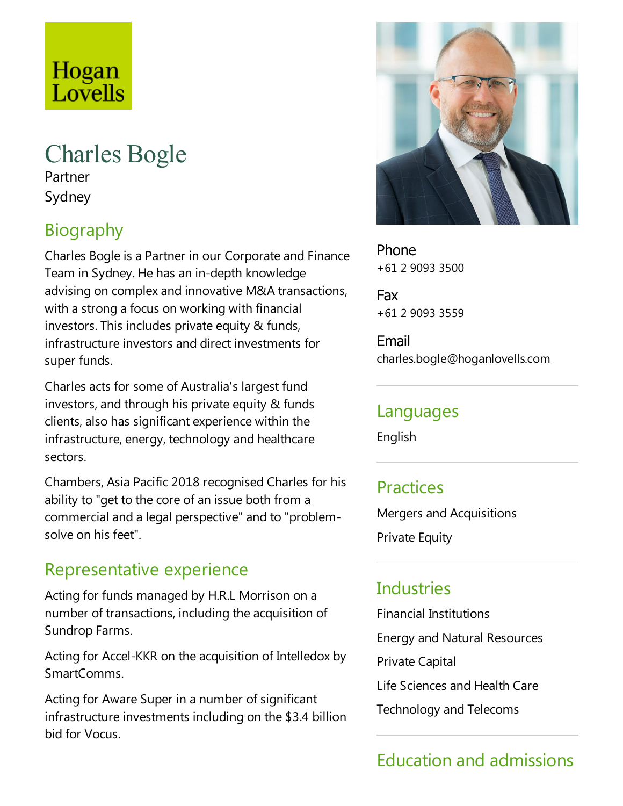## Hogan Lovells

# Charles Bogle

Partner Sydney

## Biography

Charles Bogle is a Partner in our Corporate and Finance Team in Sydney. He has an in-depth knowledge advising on complex and innovative M&A transactions, with a strong a focus on working with financial investors. This includes private equity & funds, infrastructure investors and direct investments for super funds.

Charles acts for some of Australia's largest fund investors, and through his private equity & funds clients, also has significant experience within the infrastructure, energy, technology and healthcare sectors.

Chambers, Asia Pacific 2018 recognised Charles for his ability to "get to the core of an issue both from a commercial and alegal perspective"and to "problemsolve on his feet".

#### Representative experience

Acting for funds managed by H.R.L Morrison on a number of transactions, including the acquisition of Sundrop Farms.

Acting for Accel-KKR on the acquisition of Intelledox by SmartComms.

Acting for Aware Super in a number of significant infrastructure investments including on the \$3.4 billion bid for Vocus.



Phone +61 2 9093 3500

Fax +61 2 9093 3559

Email charles.bogle@hoganlovells.com

#### Languages

English

#### **Practices**

Mergers and Acquisitions

Private Equity

#### **Industries**

Financial Institutions

Energy and Natural Resources

Private Capital

Life Sciences and Health Care

Technology and Telecoms

### Education and admissions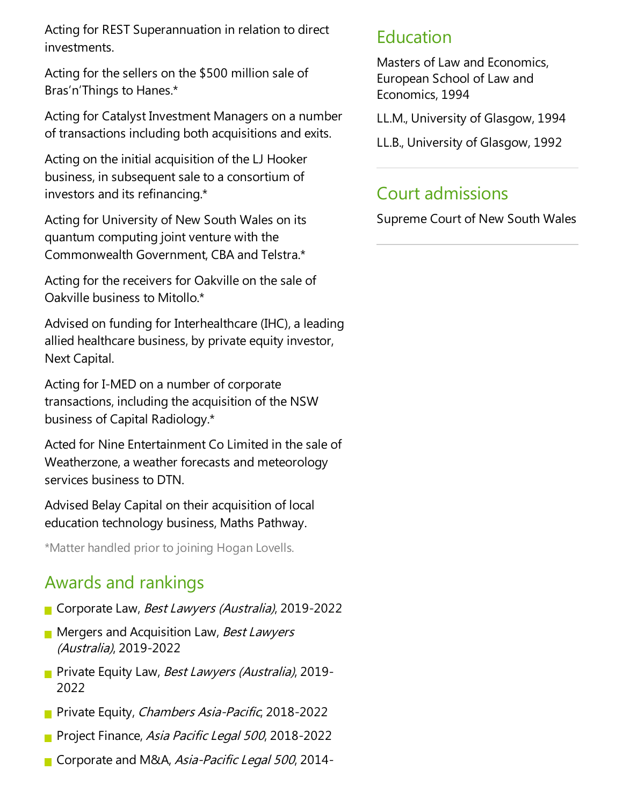Acting for REST Superannuation in relation to direct investments.

Acting for the sellers on the \$500 million sale of Bras'n'Things to Hanes.\*

Acting for Catalyst Investment Managers on a number of transactions including both acquisitions and exits.

Acting on the initial acquisition of the LJ Hooker business, in subsequent sale to a consortium of investors and its refinancing.\*

Acting for University of New South Wales on its quantum computing joint venture with the Commonwealth Government, CBA and Telstra.\*

Acting for the receivers for Oakville on the sale of Oakville business to Mitollo.\*

Advised on funding for Interhealthcare (IHC), a leading allied healthcare business, by private equity investor, Next Capital.

Acting for I-MED on a number of corporate transactions, including the acquisition of the NSW business of Capital Radiology.\*

Acted for Nine Entertainment Co Limited in the sale of Weatherzone, a weather forecasts and meteorology services business to DTN.

Advised Belay Capital on their acquisition of local education technology business, Maths Pathway.

\*Matter handled prior to joining Hogan Lovells.

### Awards and rankings

- Corporate Law, *Best Lawyers (Australia)*, 2019-2022
- **Mergers and Acquisition Law, Best Lawyers** (Australia), 2019-2022
- **Private Equity Law, Best Lawyers (Australia), 2019-**2022
- **Private Equity, Chambers Asia-Pacific, 2018-2022**
- **Project Finance, Asia Pacific Legal 500, 2018-2022**
- Corporate and M&A, Asia-Pacific Legal 500, 2014-

#### Education

Masters of Law and Economics, European School of Law and Economics, 1994

LL.M., University of Glasgow, 1994

LL.B., University of Glasgow, 1992

#### Court admissions

Supreme Court of New South Wales